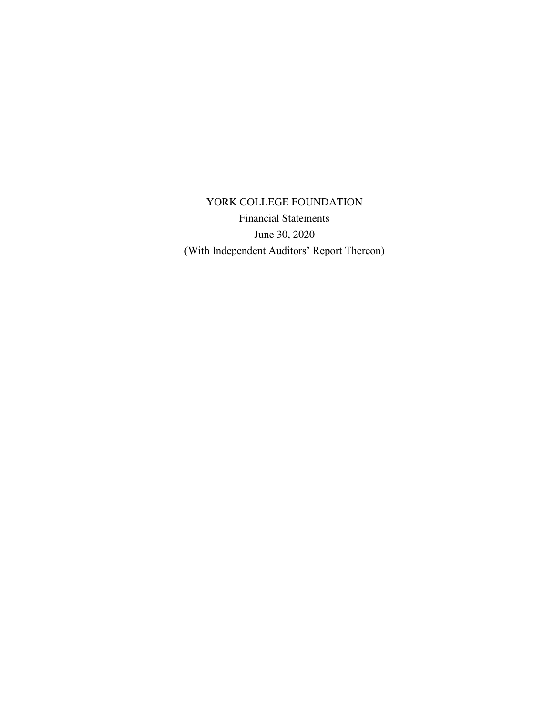YORK COLLEGE FOUNDATION Financial Statements June 30, 2020 (With Independent Auditors' Report Thereon)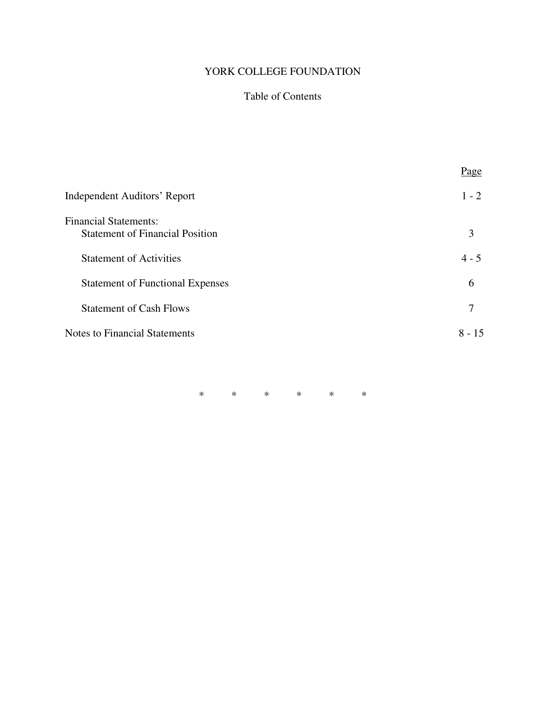# Table of Contents

|                                                                        | Page     |
|------------------------------------------------------------------------|----------|
| <b>Independent Auditors' Report</b>                                    | $1 - 2$  |
| <b>Financial Statements:</b><br><b>Statement of Financial Position</b> | 3        |
| <b>Statement of Activities</b>                                         | $4 - 5$  |
| <b>Statement of Functional Expenses</b>                                | 6        |
| <b>Statement of Cash Flows</b>                                         | 7        |
| <b>Notes to Financial Statements</b>                                   | $8 - 15$ |
|                                                                        |          |

\* \* \* \* \* \*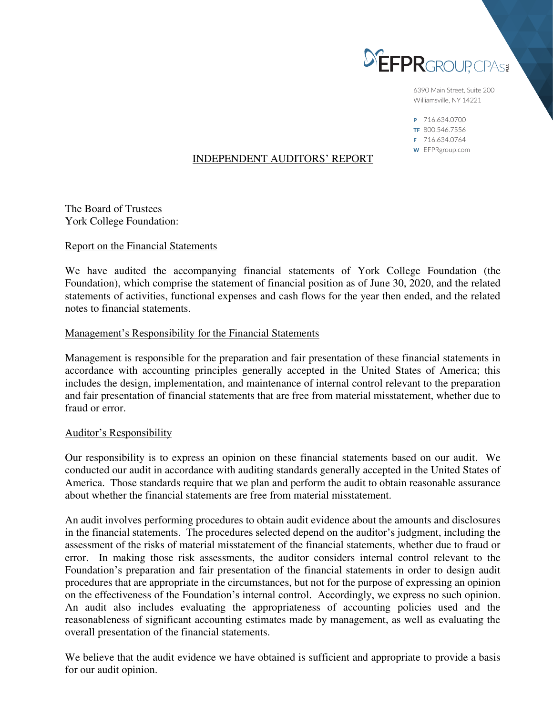

6390 Main Street, Suite 200 Williamsville, NY 14221

P 716.634.0700 TF 800.546.7556 F 716.634.0764 W EFPRgroup.com

# INDEPENDENT AUDITORS' REPORT

The Board of Trustees York College Foundation:

#### Report on the Financial Statements

We have audited the accompanying financial statements of York College Foundation (the Foundation), which comprise the statement of financial position as of June 30, 2020, and the related statements of activities, functional expenses and cash flows for the year then ended, and the related notes to financial statements.

#### Management's Responsibility for the Financial Statements

Management is responsible for the preparation and fair presentation of these financial statements in accordance with accounting principles generally accepted in the United States of America; this includes the design, implementation, and maintenance of internal control relevant to the preparation and fair presentation of financial statements that are free from material misstatement, whether due to fraud or error.

#### Auditor's Responsibility

Our responsibility is to express an opinion on these financial statements based on our audit. We conducted our audit in accordance with auditing standards generally accepted in the United States of America. Those standards require that we plan and perform the audit to obtain reasonable assurance about whether the financial statements are free from material misstatement.

An audit involves performing procedures to obtain audit evidence about the amounts and disclosures in the financial statements. The procedures selected depend on the auditor's judgment, including the assessment of the risks of material misstatement of the financial statements, whether due to fraud or error. In making those risk assessments, the auditor considers internal control relevant to the Foundation's preparation and fair presentation of the financial statements in order to design audit procedures that are appropriate in the circumstances, but not for the purpose of expressing an opinion on the effectiveness of the Foundation's internal control. Accordingly, we express no such opinion. An audit also includes evaluating the appropriateness of accounting policies used and the reasonableness of significant accounting estimates made by management, as well as evaluating the overall presentation of the financial statements.

We believe that the audit evidence we have obtained is sufficient and appropriate to provide a basis for our audit opinion.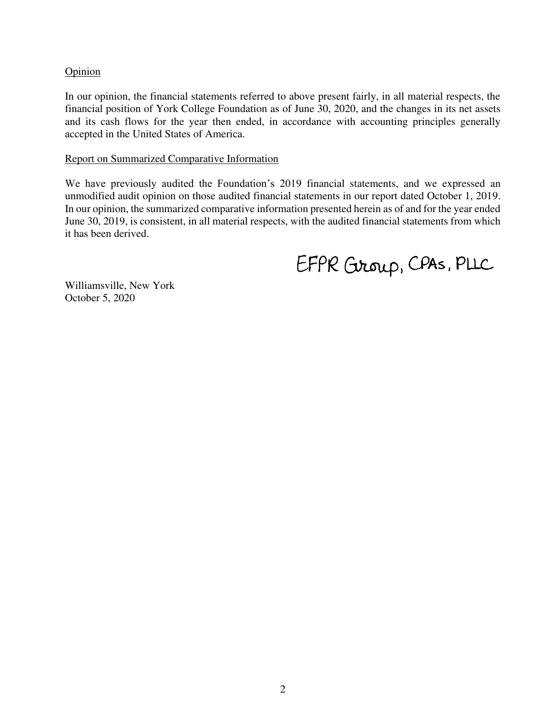# **Opinion**

In our opinion, the financial statements referred to above present fairly, in all material respects, the financial position of York College Foundation as of June 30, 2020, and the changes in its net assets and its cash flows for the year then ended, in accordance with accounting principles generally accepted in the United States of America.

## Report on Summarized Comparative Information

We have previously audited the Foundation's 2019 financial statements, and we expressed an unmodified audit opinion on those audited financial statements in our report dated October 1, 2019. In our opinion, the summarized comparative information presented herein as of and for the year ended June 30, 2019, is consistent, in all material respects, with the audited financial statements from which it has been derived.

EFPR Group, CPAS, PLLC

Williamsville, New York October 5, 2020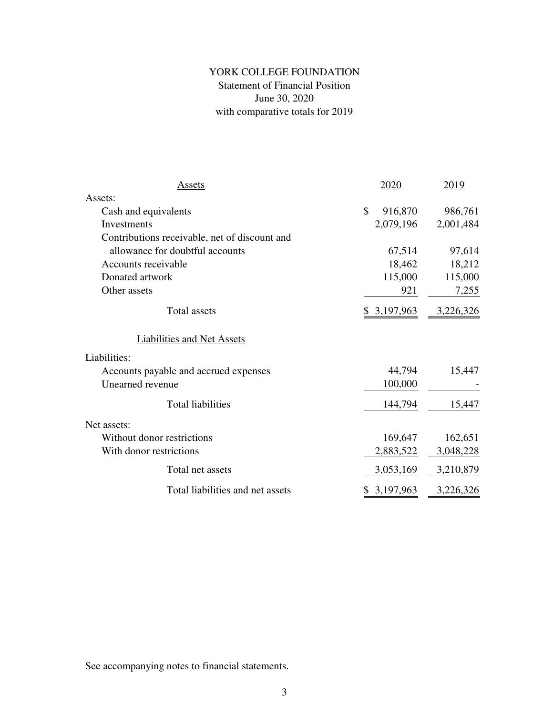# YORK COLLEGE FOUNDATION Statement of Financial Position June 30, 2020 with comparative totals for 2019

| Assets                                        | 2020          | <u>2019</u> |
|-----------------------------------------------|---------------|-------------|
| Assets:                                       |               |             |
| Cash and equivalents                          | \$<br>916,870 | 986,761     |
| Investments                                   | 2,079,196     | 2,001,484   |
| Contributions receivable, net of discount and |               |             |
| allowance for doubtful accounts               | 67,514        | 97,614      |
| Accounts receivable                           | 18,462        | 18,212      |
| Donated artwork                               | 115,000       | 115,000     |
| Other assets                                  | 921           | 7,255       |
| Total assets                                  | \$3,197,963   | 3,226,326   |
| Liabilities and Net Assets                    |               |             |
| Liabilities:                                  |               |             |
| Accounts payable and accrued expenses         | 44,794        | 15,447      |
| Unearned revenue                              | 100,000       |             |
| <b>Total liabilities</b>                      | 144,794       | 15,447      |
| Net assets:                                   |               |             |
| Without donor restrictions                    | 169,647       | 162,651     |
| With donor restrictions                       | 2,883,522     | 3,048,228   |
| Total net assets                              | 3,053,169     | 3,210,879   |
| Total liabilities and net assets              | \$3,197,963   | 3,226,326   |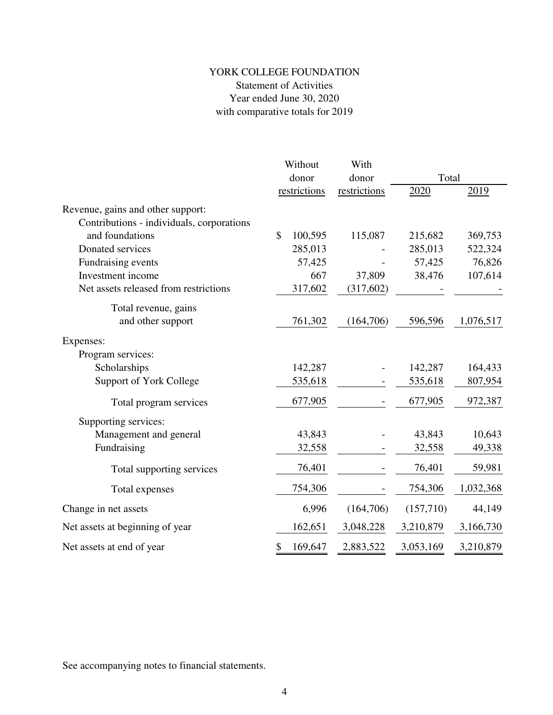# YORK COLLEGE FOUNDATION Statement of Activities Year ended June 30, 2020 with comparative totals for 2019

|                                           |               | Without      | With         |           |           |
|-------------------------------------------|---------------|--------------|--------------|-----------|-----------|
|                                           |               | donor        | donor        | Total     |           |
|                                           |               | restrictions | restrictions | 2020      | 2019      |
| Revenue, gains and other support:         |               |              |              |           |           |
| Contributions - individuals, corporations |               |              |              |           |           |
| and foundations                           | $\mathcal{S}$ | 100,595      | 115,087      | 215,682   | 369,753   |
| Donated services                          |               | 285,013      |              | 285,013   | 522,324   |
| Fundraising events                        |               | 57,425       |              | 57,425    | 76,826    |
| Investment income                         |               | 667          | 37,809       | 38,476    | 107,614   |
| Net assets released from restrictions     |               | 317,602      | (317, 602)   |           |           |
| Total revenue, gains                      |               |              |              |           |           |
| and other support                         |               | 761,302      | (164,706)    | 596,596   | 1,076,517 |
| Expenses:                                 |               |              |              |           |           |
| Program services:                         |               |              |              |           |           |
| Scholarships                              |               | 142,287      |              | 142,287   | 164,433   |
| Support of York College                   |               | 535,618      |              | 535,618   | 807,954   |
| Total program services                    |               | 677,905      |              | 677,905   | 972,387   |
| Supporting services:                      |               |              |              |           |           |
| Management and general                    |               | 43,843       |              | 43,843    | 10,643    |
| Fundraising                               |               | 32,558       |              | 32,558    | 49,338    |
| Total supporting services                 |               | 76,401       |              | 76,401    | 59,981    |
| Total expenses                            |               | 754,306      |              | 754,306   | 1,032,368 |
| Change in net assets                      |               | 6,996        | (164,706)    | (157,710) | 44,149    |
| Net assets at beginning of year           |               | 162,651      | 3,048,228    | 3,210,879 | 3,166,730 |
| Net assets at end of year                 | \$            | 169,647      | 2,883,522    | 3,053,169 | 3,210,879 |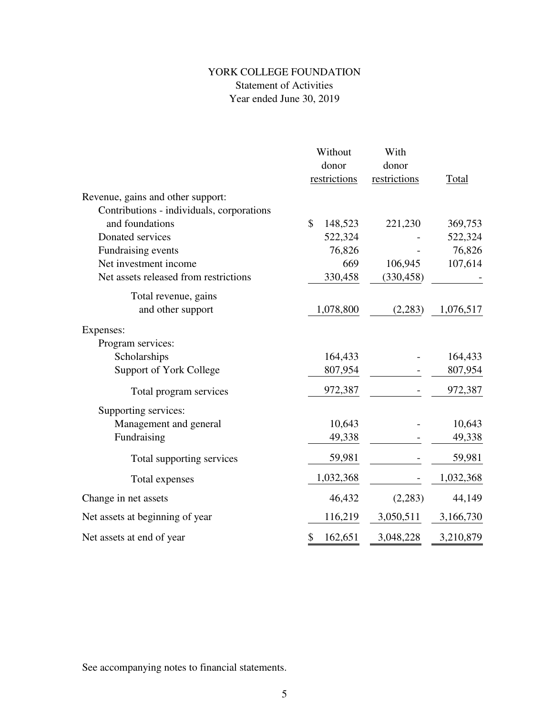# YORK COLLEGE FOUNDATION Statement of Activities Year ended June 30, 2019

|                                           | Without       | With         |           |
|-------------------------------------------|---------------|--------------|-----------|
|                                           | donor         | donor        |           |
|                                           | restrictions  | restrictions | Total     |
| Revenue, gains and other support:         |               |              |           |
| Contributions - individuals, corporations |               |              |           |
| and foundations                           | \$<br>148,523 | 221,230      | 369,753   |
| Donated services                          | 522,324       |              | 522,324   |
| Fundraising events                        | 76,826        |              | 76,826    |
| Net investment income                     | 669           | 106,945      | 107,614   |
| Net assets released from restrictions     | 330,458       | (330, 458)   |           |
| Total revenue, gains                      |               |              |           |
| and other support                         | 1,078,800     | (2,283)      | 1,076,517 |
| Expenses:                                 |               |              |           |
| Program services:                         |               |              |           |
| Scholarships                              | 164,433       |              | 164,433   |
| <b>Support of York College</b>            | 807,954       |              | 807,954   |
| Total program services                    | 972,387       |              | 972,387   |
| Supporting services:                      |               |              |           |
| Management and general                    | 10,643        |              | 10,643    |
| Fundraising                               | 49,338        |              | 49,338    |
| Total supporting services                 | 59,981        |              | 59,981    |
| Total expenses                            | 1,032,368     |              | 1,032,368 |
| Change in net assets                      | 46,432        | (2,283)      | 44,149    |
| Net assets at beginning of year           | 116,219       | 3,050,511    | 3,166,730 |
| Net assets at end of year                 | \$<br>162,651 | 3,048,228    | 3,210,879 |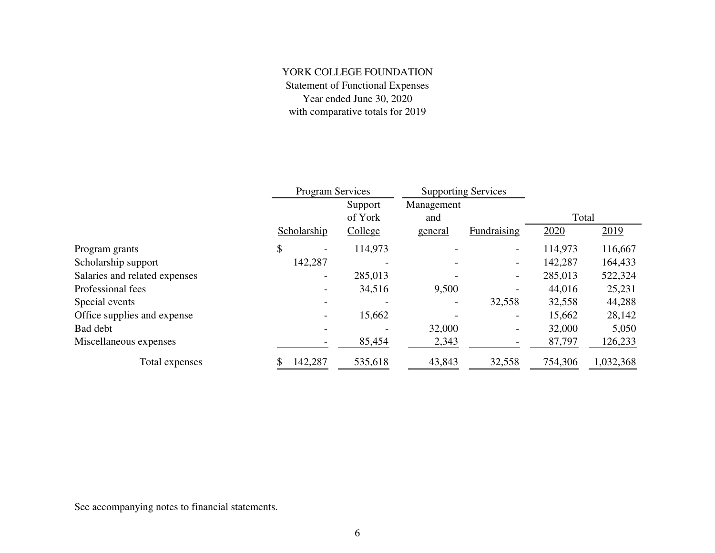# YORK COLLEGE FOUNDATION Statement of Functional Expenses Year ended June 30, 2020 with comparative totals for 2019

|                               | <b>Program Services</b> |                    |                          | <b>Supporting Services</b> |         |           |
|-------------------------------|-------------------------|--------------------|--------------------------|----------------------------|---------|-----------|
|                               |                         | Support<br>of York | Management<br>and        |                            | Total   |           |
|                               | Scholarship             | College            | general                  | Fundraising                | 2020    | 2019      |
| Program grants                | \$                      | 114,973            |                          | $\overline{\phantom{a}}$   | 114,973 | 116,667   |
| Scholarship support           | 142,287                 |                    |                          | $\overline{\phantom{0}}$   | 142,287 | 164,433   |
| Salaries and related expenses |                         | 285,013            |                          | $\overline{\phantom{a}}$   | 285,013 | 522,324   |
| Professional fees             |                         | 34,516             | 9,500                    | $\overline{\phantom{0}}$   | 44,016  | 25,231    |
| Special events                |                         |                    | $\overline{\phantom{a}}$ | 32,558                     | 32,558  | 44,288    |
| Office supplies and expense   |                         | 15,662             | $\overline{\phantom{0}}$ | $\blacksquare$             | 15,662  | 28,142    |
| Bad debt                      |                         |                    | 32,000                   | -                          | 32,000  | 5,050     |
| Miscellaneous expenses        |                         | 85,454             | 2,343                    | $\overline{\phantom{0}}$   | 87,797  | 126,233   |
| Total expenses                | 142,287                 | 535,618            | 43,843                   | 32,558                     | 754,306 | 1,032,368 |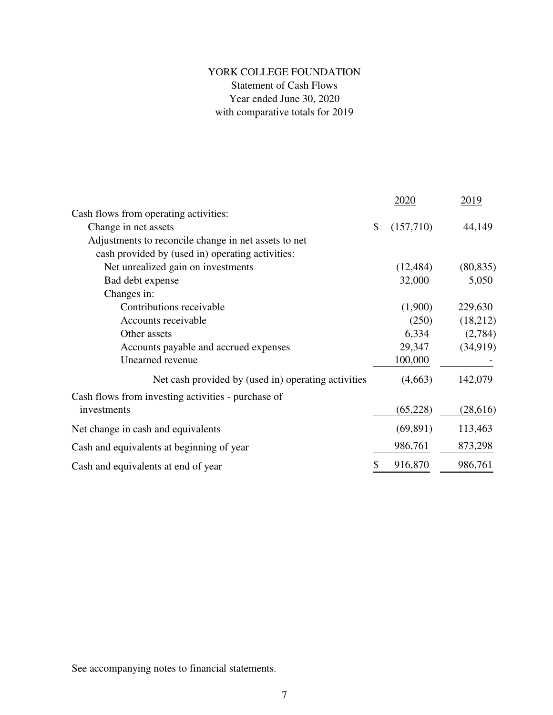# YORK COLLEGE FOUNDATION Statement of Cash Flows Year ended June 30, 2020 with comparative totals for 2019

|                                                      | 2020            | 2019      |
|------------------------------------------------------|-----------------|-----------|
| Cash flows from operating activities:                |                 |           |
| Change in net assets                                 | \$<br>(157,710) | 44,149    |
| Adjustments to reconcile change in net assets to net |                 |           |
| cash provided by (used in) operating activities:     |                 |           |
| Net unrealized gain on investments                   | (12, 484)       | (80, 835) |
| Bad debt expense                                     | 32,000          | 5,050     |
| Changes in:                                          |                 |           |
| Contributions receivable                             | (1,900)         | 229,630   |
| Accounts receivable                                  | (250)           | (18,212)  |
| Other assets                                         | 6,334           | (2,784)   |
| Accounts payable and accrued expenses                | 29,347          | (34, 919) |
| Unearned revenue                                     | 100,000         |           |
| Net cash provided by (used in) operating activities  | (4,663)         | 142,079   |
| Cash flows from investing activities - purchase of   |                 |           |
| investments                                          | (65, 228)       | (28,616)  |
| Net change in cash and equivalents                   | (69, 891)       | 113,463   |
| Cash and equivalents at beginning of year            | 986,761         | 873,298   |
| Cash and equivalents at end of year                  | 916,870         | 986,761   |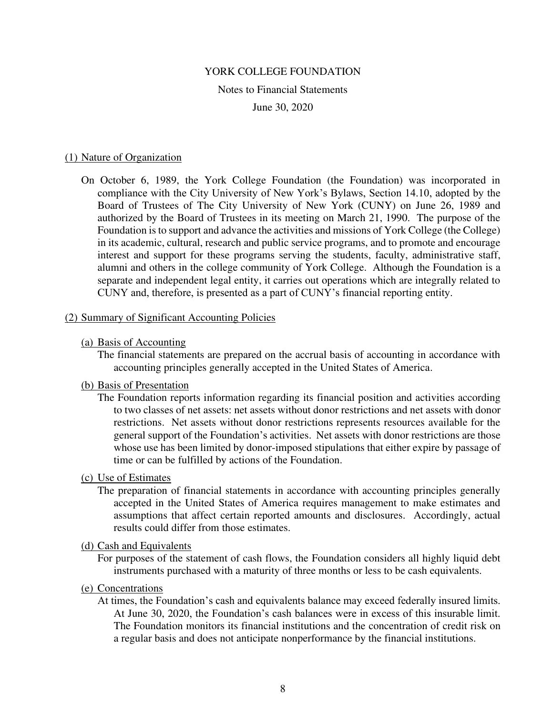#### Notes to Financial Statements

June 30, 2020

#### (1) Nature of Organization

 On October 6, 1989, the York College Foundation (the Foundation) was incorporated in compliance with the City University of New York's Bylaws, Section 14.10, adopted by the Board of Trustees of The City University of New York (CUNY) on June 26, 1989 and authorized by the Board of Trustees in its meeting on March 21, 1990. The purpose of the Foundation is to support and advance the activities and missions of York College (the College) in its academic, cultural, research and public service programs, and to promote and encourage interest and support for these programs serving the students, faculty, administrative staff, alumni and others in the college community of York College. Although the Foundation is a separate and independent legal entity, it carries out operations which are integrally related to CUNY and, therefore, is presented as a part of CUNY's financial reporting entity.

## (2) Summary of Significant Accounting Policies

## (a) Basis of Accounting

 The financial statements are prepared on the accrual basis of accounting in accordance with accounting principles generally accepted in the United States of America.

## (b) Basis of Presentation

 The Foundation reports information regarding its financial position and activities according to two classes of net assets: net assets without donor restrictions and net assets with donor restrictions. Net assets without donor restrictions represents resources available for the general support of the Foundation's activities. Net assets with donor restrictions are those whose use has been limited by donor-imposed stipulations that either expire by passage of time or can be fulfilled by actions of the Foundation.

#### (c) Use of Estimates

 The preparation of financial statements in accordance with accounting principles generally accepted in the United States of America requires management to make estimates and assumptions that affect certain reported amounts and disclosures. Accordingly, actual results could differ from those estimates.

#### (d) Cash and Equivalents

 For purposes of the statement of cash flows, the Foundation considers all highly liquid debt instruments purchased with a maturity of three months or less to be cash equivalents.

#### (e) Concentrations

 At times, the Foundation's cash and equivalents balance may exceed federally insured limits. At June 30, 2020, the Foundation's cash balances were in excess of this insurable limit. The Foundation monitors its financial institutions and the concentration of credit risk on a regular basis and does not anticipate nonperformance by the financial institutions.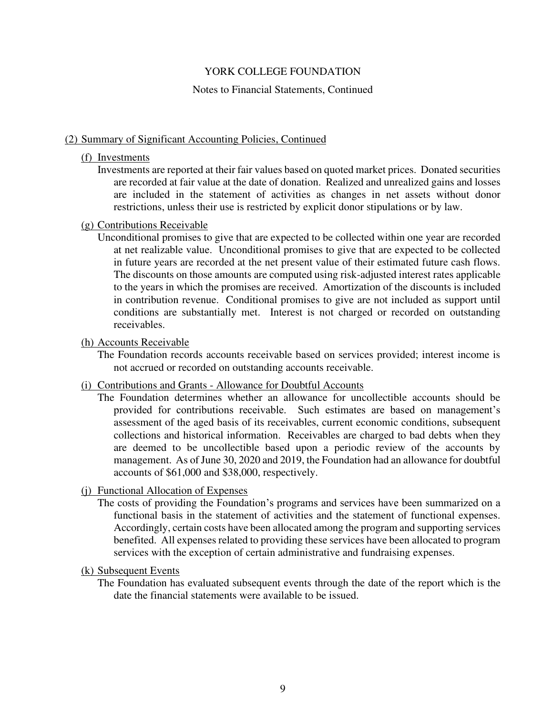# Notes to Financial Statements, Continued

# (2) Summary of Significant Accounting Policies, Continued

#### (f) Investments

 Investments are reported at their fair values based on quoted market prices. Donated securities are recorded at fair value at the date of donation. Realized and unrealized gains and losses are included in the statement of activities as changes in net assets without donor restrictions, unless their use is restricted by explicit donor stipulations or by law.

#### (g) Contributions Receivable

 Unconditional promises to give that are expected to be collected within one year are recorded at net realizable value. Unconditional promises to give that are expected to be collected in future years are recorded at the net present value of their estimated future cash flows. The discounts on those amounts are computed using risk-adjusted interest rates applicable to the years in which the promises are received. Amortization of the discounts is included in contribution revenue. Conditional promises to give are not included as support until conditions are substantially met. Interest is not charged or recorded on outstanding receivables.

## (h) Accounts Receivable

 The Foundation records accounts receivable based on services provided; interest income is not accrued or recorded on outstanding accounts receivable.

#### (i) Contributions and Grants - Allowance for Doubtful Accounts

- The Foundation determines whether an allowance for uncollectible accounts should be provided for contributions receivable. Such estimates are based on management's assessment of the aged basis of its receivables, current economic conditions, subsequent collections and historical information. Receivables are charged to bad debts when they are deemed to be uncollectible based upon a periodic review of the accounts by management. As of June 30, 2020 and 2019, the Foundation had an allowance for doubtful accounts of \$61,000 and \$38,000, respectively.
- (j) Functional Allocation of Expenses
	- The costs of providing the Foundation's programs and services have been summarized on a functional basis in the statement of activities and the statement of functional expenses. Accordingly, certain costs have been allocated among the program and supporting services benefited. All expenses related to providing these services have been allocated to program services with the exception of certain administrative and fundraising expenses.

#### (k) Subsequent Events

 The Foundation has evaluated subsequent events through the date of the report which is the date the financial statements were available to be issued.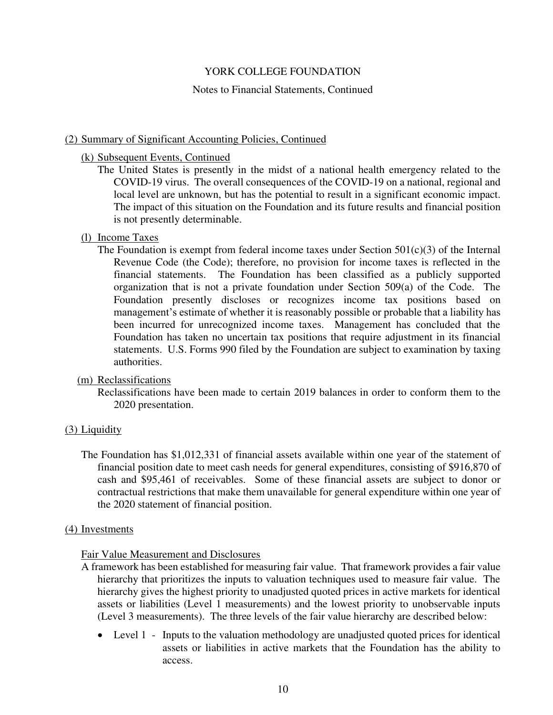# Notes to Financial Statements, Continued

# (2) Summary of Significant Accounting Policies, Continued

## (k) Subsequent Events, Continued

 The United States is presently in the midst of a national health emergency related to the COVID-19 virus. The overall consequences of the COVID-19 on a national, regional and local level are unknown, but has the potential to result in a significant economic impact. The impact of this situation on the Foundation and its future results and financial position is not presently determinable.

## (l) Income Taxes

The Foundation is exempt from federal income taxes under Section  $501(c)(3)$  of the Internal Revenue Code (the Code); therefore, no provision for income taxes is reflected in the financial statements. The Foundation has been classified as a publicly supported organization that is not a private foundation under Section 509(a) of the Code. The Foundation presently discloses or recognizes income tax positions based on management's estimate of whether it is reasonably possible or probable that a liability has been incurred for unrecognized income taxes. Management has concluded that the Foundation has taken no uncertain tax positions that require adjustment in its financial statements. U.S. Forms 990 filed by the Foundation are subject to examination by taxing authorities.

#### (m) Reclassifications

 Reclassifications have been made to certain 2019 balances in order to conform them to the 2020 presentation.

# (3) Liquidity

 The Foundation has \$1,012,331 of financial assets available within one year of the statement of financial position date to meet cash needs for general expenditures, consisting of \$916,870 of cash and \$95,461 of receivables. Some of these financial assets are subject to donor or contractual restrictions that make them unavailable for general expenditure within one year of the 2020 statement of financial position.

#### (4) Investments

#### Fair Value Measurement and Disclosures

- A framework has been established for measuring fair value. That framework provides a fair value hierarchy that prioritizes the inputs to valuation techniques used to measure fair value. The hierarchy gives the highest priority to unadjusted quoted prices in active markets for identical assets or liabilities (Level 1 measurements) and the lowest priority to unobservable inputs (Level 3 measurements). The three levels of the fair value hierarchy are described below:
	- Level 1 Inputs to the valuation methodology are unadjusted quoted prices for identical assets or liabilities in active markets that the Foundation has the ability to access.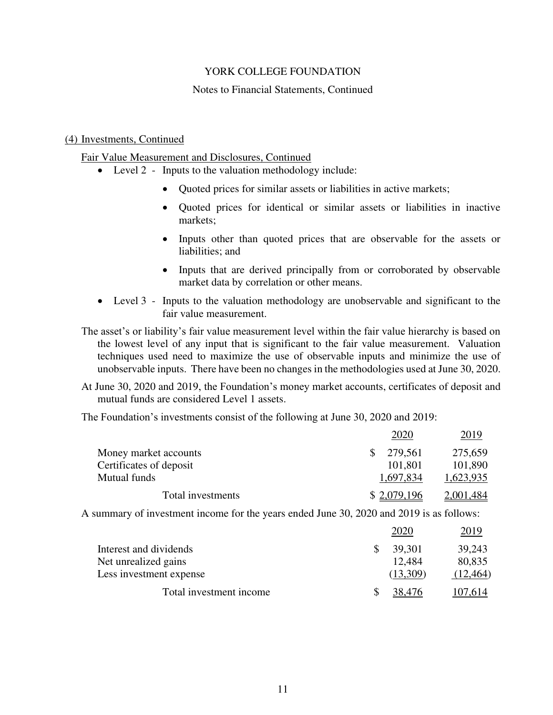# Notes to Financial Statements, Continued

# (4) Investments, Continued

Fair Value Measurement and Disclosures, Continued

- Level 2 Inputs to the valuation methodology include:
	- Quoted prices for similar assets or liabilities in active markets;
	- Quoted prices for identical or similar assets or liabilities in inactive markets;
	- Inputs other than quoted prices that are observable for the assets or liabilities; and
	- Inputs that are derived principally from or corroborated by observable market data by correlation or other means.
- Level 3 Inputs to the valuation methodology are unobservable and significant to the fair value measurement.

The asset's or liability's fair value measurement level within the fair value hierarchy is based on the lowest level of any input that is significant to the fair value measurement. Valuation techniques used need to maximize the use of observable inputs and minimize the use of unobservable inputs. There have been no changes in the methodologies used at June 30, 2020.

 At June 30, 2020 and 2019, the Foundation's money market accounts, certificates of deposit and mutual funds are considered Level 1 assets.

The Foundation's investments consist of the following at June 30, 2020 and 2019:

|                         | 2020        | 2019      |
|-------------------------|-------------|-----------|
| Money market accounts   | 279,561     | 275,659   |
| Certificates of deposit | 101,801     | 101,890   |
| Mutual funds            | 1,697,834   | 1,623,935 |
| Total investments       | \$2,079,196 | 2,001,484 |

A summary of investment income for the years ended June 30, 2020 and 2019 is as follows:

|                         | 2020     | 2019      |
|-------------------------|----------|-----------|
| Interest and dividends  | 39,301   | 39,243    |
| Net unrealized gains    | 12,484   | 80,835    |
| Less investment expense | (13,309) | (12, 464) |
| Total investment income | 38,476   | 107,614   |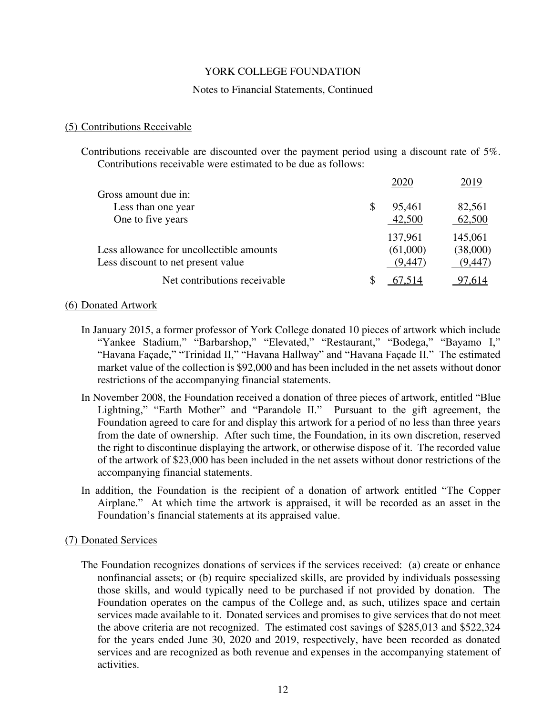#### Notes to Financial Statements, Continued

#### (5) Contributions Receivable

 Contributions receivable are discounted over the payment period using a discount rate of 5%. Contributions receivable were estimated to be due as follows:

|                                          | 2020         | 2019     |
|------------------------------------------|--------------|----------|
| Gross amount due in:                     |              |          |
| Less than one year                       | \$<br>95,461 | 82,561   |
| One to five years                        | 42,500       | 62,500   |
|                                          | 137,961      | 145,061  |
| Less allowance for uncollectible amounts | (61,000)     | (38,000) |
| Less discount to net present value       | (9, 447)     | (9, 447) |
| Net contributions receivable             |              |          |

#### (6) Donated Artwork

- In January 2015, a former professor of York College donated 10 pieces of artwork which include "Yankee Stadium," "Barbarshop," "Elevated," "Restaurant," "Bodega," "Bayamo I," "Havana Façade," "Trinidad II," "Havana Hallway" and "Havana Façade II." The estimated market value of the collection is \$92,000 and has been included in the net assets without donor restrictions of the accompanying financial statements.
- In November 2008, the Foundation received a donation of three pieces of artwork, entitled "Blue Lightning," "Earth Mother" and "Parandole II." Pursuant to the gift agreement, the Foundation agreed to care for and display this artwork for a period of no less than three years from the date of ownership. After such time, the Foundation, in its own discretion, reserved the right to discontinue displaying the artwork, or otherwise dispose of it. The recorded value of the artwork of \$23,000 has been included in the net assets without donor restrictions of the accompanying financial statements.
- In addition, the Foundation is the recipient of a donation of artwork entitled "The Copper Airplane." At which time the artwork is appraised, it will be recorded as an asset in the Foundation's financial statements at its appraised value.

# (7) Donated Services

 The Foundation recognizes donations of services if the services received: (a) create or enhance nonfinancial assets; or (b) require specialized skills, are provided by individuals possessing those skills, and would typically need to be purchased if not provided by donation. The Foundation operates on the campus of the College and, as such, utilizes space and certain services made available to it. Donated services and promises to give services that do not meet the above criteria are not recognized. The estimated cost savings of \$285,013 and \$522,324 for the years ended June 30, 2020 and 2019, respectively, have been recorded as donated services and are recognized as both revenue and expenses in the accompanying statement of activities.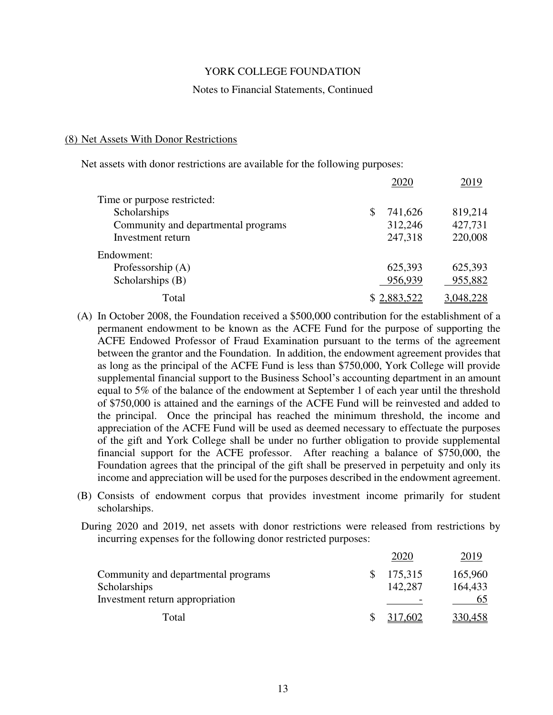#### Notes to Financial Statements, Continued

#### (8) Net Assets With Donor Restrictions

Net assets with donor restrictions are available for the following purposes:

|                                     | 2020          | 2019      |
|-------------------------------------|---------------|-----------|
| Time or purpose restricted:         |               |           |
| Scholarships                        | \$<br>741,626 | 819,214   |
| Community and departmental programs | 312,246       | 427,731   |
| Investment return                   | 247,318       | 220,008   |
| Endowment:                          |               |           |
| Professorship $(A)$                 | 625,393       | 625,393   |
| Scholarships (B)                    | 956,939       | 955,882   |
| Total                               | \$2,883,522   | 3,048,228 |

- (A) In October 2008, the Foundation received a \$500,000 contribution for the establishment of a permanent endowment to be known as the ACFE Fund for the purpose of supporting the ACFE Endowed Professor of Fraud Examination pursuant to the terms of the agreement between the grantor and the Foundation. In addition, the endowment agreement provides that as long as the principal of the ACFE Fund is less than \$750,000, York College will provide supplemental financial support to the Business School's accounting department in an amount equal to 5% of the balance of the endowment at September 1 of each year until the threshold of \$750,000 is attained and the earnings of the ACFE Fund will be reinvested and added to the principal. Once the principal has reached the minimum threshold, the income and appreciation of the ACFE Fund will be used as deemed necessary to effectuate the purposes of the gift and York College shall be under no further obligation to provide supplemental financial support for the ACFE professor. After reaching a balance of \$750,000, the Foundation agrees that the principal of the gift shall be preserved in perpetuity and only its income and appreciation will be used for the purposes described in the endowment agreement.
- (B) Consists of endowment corpus that provides investment income primarily for student scholarships.
- During 2020 and 2019, net assets with donor restrictions were released from restrictions by incurring expenses for the following donor restricted purposes:

|                                     | 2020                     | 2019    |
|-------------------------------------|--------------------------|---------|
| Community and departmental programs | 175,315                  | 165,960 |
| Scholarships                        | 142,287                  | 164,433 |
| Investment return appropriation     | $\overline{\phantom{0}}$ |         |
| Total                               | 317,602                  | 330,458 |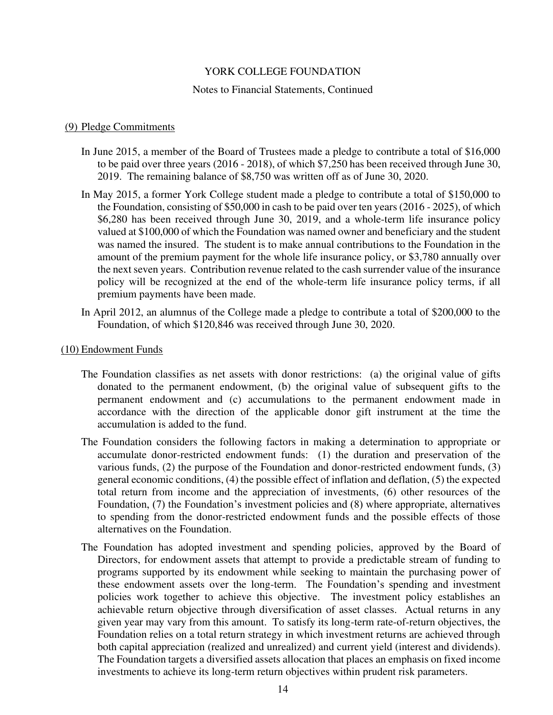#### Notes to Financial Statements, Continued

#### (9) Pledge Commitments

- In June 2015, a member of the Board of Trustees made a pledge to contribute a total of \$16,000 to be paid over three years (2016 - 2018), of which \$7,250 has been received through June 30, 2019. The remaining balance of \$8,750 was written off as of June 30, 2020.
- In May 2015, a former York College student made a pledge to contribute a total of \$150,000 to the Foundation, consisting of \$50,000 in cash to be paid over ten years (2016 - 2025), of which \$6,280 has been received through June 30, 2019, and a whole-term life insurance policy valued at \$100,000 of which the Foundation was named owner and beneficiary and the student was named the insured. The student is to make annual contributions to the Foundation in the amount of the premium payment for the whole life insurance policy, or \$3,780 annually over the next seven years. Contribution revenue related to the cash surrender value of the insurance policy will be recognized at the end of the whole-term life insurance policy terms, if all premium payments have been made.
- In April 2012, an alumnus of the College made a pledge to contribute a total of \$200,000 to the Foundation, of which \$120,846 was received through June 30, 2020.

#### (10) Endowment Funds

- The Foundation classifies as net assets with donor restrictions: (a) the original value of gifts donated to the permanent endowment, (b) the original value of subsequent gifts to the permanent endowment and (c) accumulations to the permanent endowment made in accordance with the direction of the applicable donor gift instrument at the time the accumulation is added to the fund.
- The Foundation considers the following factors in making a determination to appropriate or accumulate donor-restricted endowment funds: (1) the duration and preservation of the various funds, (2) the purpose of the Foundation and donor-restricted endowment funds, (3) general economic conditions, (4) the possible effect of inflation and deflation, (5) the expected total return from income and the appreciation of investments, (6) other resources of the Foundation, (7) the Foundation's investment policies and (8) where appropriate, alternatives to spending from the donor-restricted endowment funds and the possible effects of those alternatives on the Foundation.
- The Foundation has adopted investment and spending policies, approved by the Board of Directors, for endowment assets that attempt to provide a predictable stream of funding to programs supported by its endowment while seeking to maintain the purchasing power of these endowment assets over the long-term. The Foundation's spending and investment policies work together to achieve this objective. The investment policy establishes an achievable return objective through diversification of asset classes. Actual returns in any given year may vary from this amount. To satisfy its long-term rate-of-return objectives, the Foundation relies on a total return strategy in which investment returns are achieved through both capital appreciation (realized and unrealized) and current yield (interest and dividends). The Foundation targets a diversified assets allocation that places an emphasis on fixed income investments to achieve its long-term return objectives within prudent risk parameters.